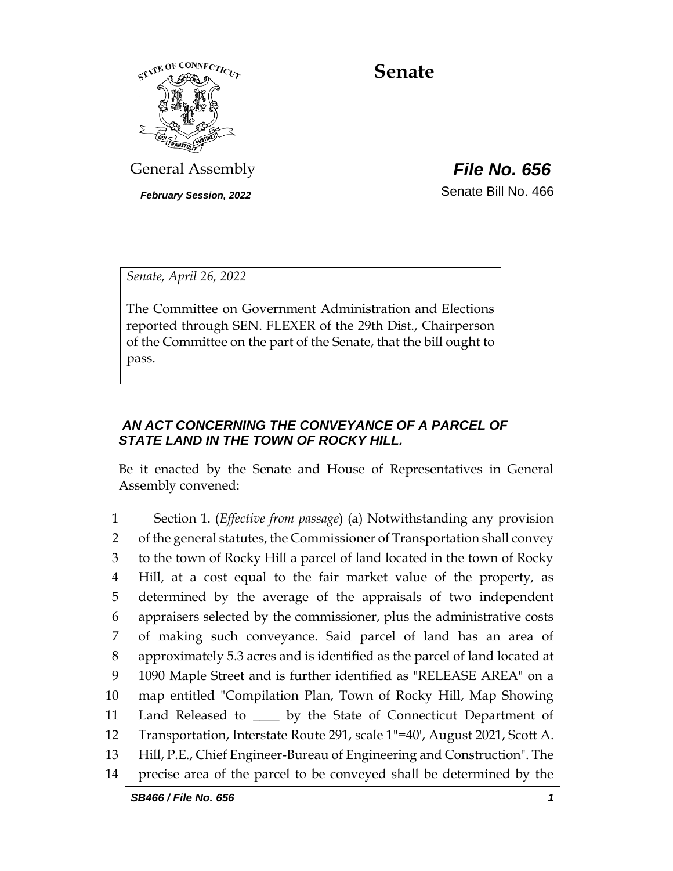

**Senate**

General Assembly *File No. 656*

*February Session, 2022* Senate Bill No. 466

*Senate, April 26, 2022*

The Committee on Government Administration and Elections reported through SEN. FLEXER of the 29th Dist., Chairperson of the Committee on the part of the Senate, that the bill ought to pass.

# *AN ACT CONCERNING THE CONVEYANCE OF A PARCEL OF STATE LAND IN THE TOWN OF ROCKY HILL.*

Be it enacted by the Senate and House of Representatives in General Assembly convened:

 Section 1. (*Effective from passage*) (a) Notwithstanding any provision of the general statutes, the Commissioner of Transportation shall convey to the town of Rocky Hill a parcel of land located in the town of Rocky Hill, at a cost equal to the fair market value of the property, as determined by the average of the appraisals of two independent appraisers selected by the commissioner, plus the administrative costs of making such conveyance. Said parcel of land has an area of approximately 5.3 acres and is identified as the parcel of land located at 1090 Maple Street and is further identified as "RELEASE AREA" on a map entitled "Compilation Plan, Town of Rocky Hill, Map Showing 11 Land Released to \_\_\_\_ by the State of Connecticut Department of Transportation, Interstate Route 291, scale 1"=40', August 2021, Scott A. Hill, P.E., Chief Engineer-Bureau of Engineering and Construction". The precise area of the parcel to be conveyed shall be determined by the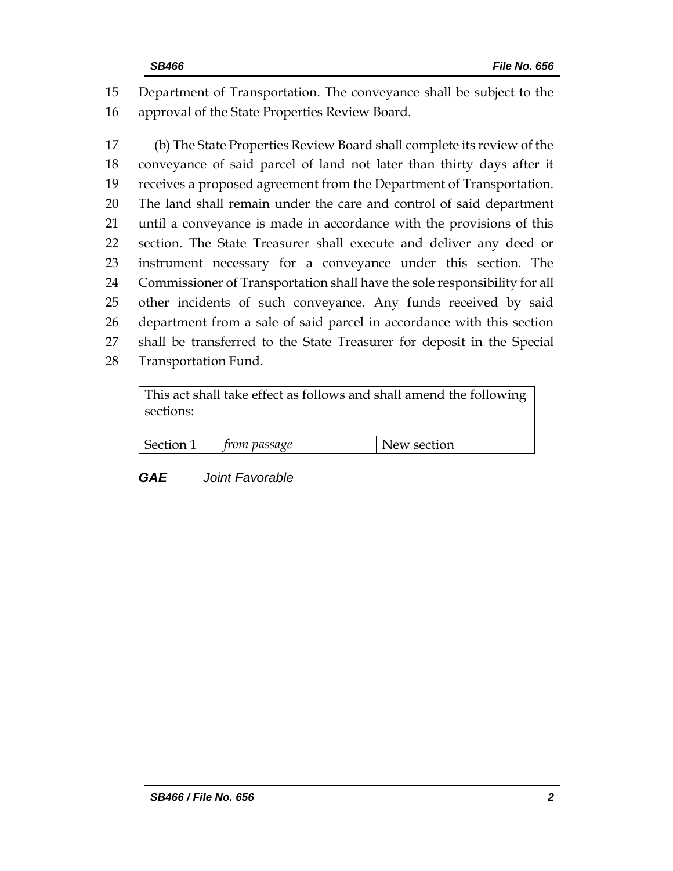Department of Transportation. The conveyance shall be subject to the approval of the State Properties Review Board.

 (b) The State Properties Review Board shall complete its review of the conveyance of said parcel of land not later than thirty days after it receives a proposed agreement from the Department of Transportation. The land shall remain under the care and control of said department until a conveyance is made in accordance with the provisions of this section. The State Treasurer shall execute and deliver any deed or instrument necessary for a conveyance under this section. The Commissioner of Transportation shall have the sole responsibility for all other incidents of such conveyance. Any funds received by said department from a sale of said parcel in accordance with this section shall be transferred to the State Treasurer for deposit in the Special Transportation Fund.

| sections: | This act shall take effect as follows and shall amend the following |             |
|-----------|---------------------------------------------------------------------|-------------|
| Section 1 | $\mid$ from passage                                                 | New section |

*GAE Joint Favorable*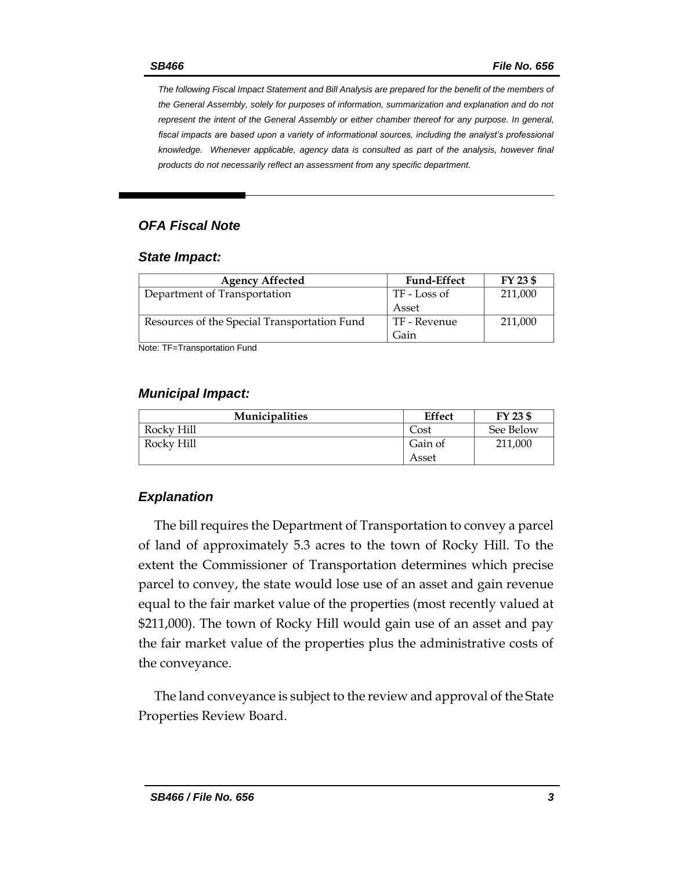*The following Fiscal Impact Statement and Bill Analysis are prepared for the benefit of the members of the General Assembly, solely for purposes of information, summarization and explanation and do not represent the intent of the General Assembly or either chamber thereof for any purpose. In general,*  fiscal impacts are based upon a variety of informational sources, including the analyst's professional *knowledge. Whenever applicable, agency data is consulted as part of the analysis, however final products do not necessarily reflect an assessment from any specific department.*

# *OFA Fiscal Note*

#### *State Impact:*

| <b>Agency Affected</b>                       | <b>Fund-Effect</b> | FY 23 \$ |
|----------------------------------------------|--------------------|----------|
| Department of Transportation                 | TF - Loss of       | 211,000  |
|                                              | Asset              |          |
| Resources of the Special Transportation Fund | TF - Revenue       | 211,000  |
|                                              | Gain               |          |

Note: TF=Transportation Fund

#### *Municipal Impact:*

| <b>Municipalities</b> | <b>Effect</b> | FY 23 \$  |
|-----------------------|---------------|-----------|
| Rocky Hill            | Cost          | See Below |
| Rocky Hill            | Gain of       | 211,000   |
|                       | Asset         |           |

### *Explanation*

The bill requires the Department of Transportation to convey a parcel of land of approximately 5.3 acres to the town of Rocky Hill. To the extent the Commissioner of Transportation determines which precise parcel to convey, the state would lose use of an asset and gain revenue equal to the fair market value of the properties (most recently valued at \$211,000). The town of Rocky Hill would gain use of an asset and pay the fair market value of the properties plus the administrative costs of the conveyance.

The land conveyance is subject to the review and approval of the State Properties Review Board.